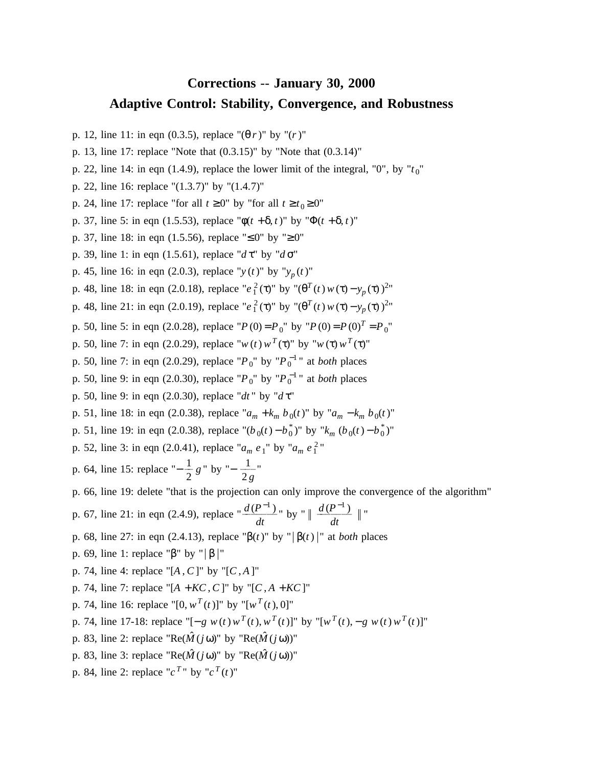## **Corrections** -- **January 30, 2000 s Adaptive Control: Stability, Convergence, and Robustnes**

- p . 12, line 11: in eqn (0.3.5), replace "(θ *r*)" by "(*r*)"
- p. 13, line 17: replace "Note that  $(0.3.15)$ " by "Note that  $(0.3.14)$ "
- p. 22, line 14: in eqn  $(1.4.9)$ , replace the lower limit of the integral, "0", by " $t_0$ "
- p. 22, line 16: replace "(1.3.7)" by "(1.4.7)"
- p. 24, line 17: replace "for all  $t \ge 0$ " by "for all  $t \ge t_0 \ge 0$ "
- p. 37, line 5: in eqn (1.5.53), replace " $\phi(t + \delta, t)$ " by " $\Phi(t + \delta, t)$ "
- p . 37, line 18: in eqn (1.5.56), replace "≤ 0" by "≥ 0"
- p. 39, line 1: in eqn (1.5.61), replace "*d* τ" by "*d* σ"
- p. 45, line 16: in eqn (2.0.3), replace " $y(t)$ " by " $y_p(t)$ "
- **p**. 48, line 18: in eqn (2.0.18), replace "*e*<sup>2</sup><sub>1</sub>(τ)" by "(θ<sup>T</sup>(*t*) *w*(τ) *y<sub>p</sub>*(τ))<sup>2</sup>"
- p. 48, line 21: in eqn (2.0.19), replace " $e_1^2(\tau)$ " by " $(\theta^T(t) w(\tau) y_p(\tau))^{2n}$
- p. 50, line 5: in eqn (2.0.28), replace " $P(0) = P_0$ " by " $P(0) = P(0)^T = P_0$ "
- p. 50, line 7: in eqn (2.0.29), replace " $w(t) w^T(\tau)$ " by " $w(\tau) w^T(\tau)$ "
- p. 50, line 7: in eqn (2.0.29), replace " $P_0$ " by " $P_0^{-1}$ " at *both* places
- p. 50, line 9: in eqn (2.0.30), replace " $P_0$ " by " $P_0^{-1}$ " at *both* places
- p. 50, line 9: in eqn (2.0.30), replace "*dt*" by "*d* τ"
- p. 51, line 18: in eqn (2.0.38), replace " $a_m + k_m b_0(t)$ " by " $a_m k_m b_0(t)$ "
- *p*. 51, line 19: in eqn (2.0.38), replace " $(b_0(t) b_0^*)$ " by " $k_m$  ( $b_0(t) b_0^*)$ "
- p. 52, line 3: in eqn (2.0.41), replace " $a_m e_1$ " by " $a_m e_1^2$ "

 $\frac{1}{2}$ "  $\frac{1}{2} g$ " by "−  $\frac{1}{2g}$ p. 64, line 15: replace " $-\frac{1}{2}$ 

- p . 66, line 19: delete "that is the projection can only improve the convergence of the algorithm"
- p. 67, line 21: in eqn (2.4.9), replace " $\frac{d(P^{-1})}{dt}$ " by "  $\|\frac{d(P^{-1})}{dt}\|$ "
- p. 68, line 27: in eqn (2.4.13), replace "β(*t*)" by " $\beta(t)$ " at *both* places
- p. 69, line 1: replace "β" by " $\beta$ |"
- " p. 74, line 4: replace "[*A* , *C*]" by "[*C* , *A* ]
- p . 74, line 7: replace "[*A* + *KC*, *C*]" by "[*C* , *A* + *KC*]"
- p. 74, line 16: replace "[0,  $w^{T}(t)$ ]" by "[ $w^{T}(t)$ , 0]"
- *p*. 74, line 17-18: replace "[− *g w*(*t*)  $w^{T}(t)$ ,  $w^{T}(t)$ ]" by "[ $w^{T}(t)$ , − *g*  $w(t) w^{T}(t)$ ]"
- p. 83, line 2: replace " $\text{Re}(\hat{M}(i\omega))$ " by " $\text{Re}(\hat{M}(i\omega))$ "
- p. 83, line 3: replace "Re( $\hat{M}(j\omega)$ " by "Re( $\hat{M}(j\omega)$ )"
- p. 84, line 2: replace " $c^{T}$ " by " $c^{T}(t)$ "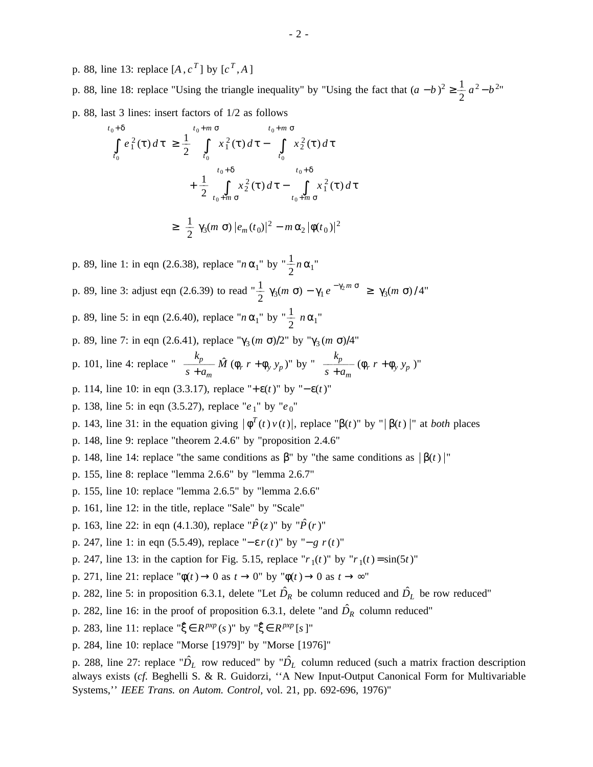p. 88, line 13: replace  $[A, c^T]$  by  $[c^T, A]$ 

p. 88, line 18: replace "Using the triangle inequality" by "Using the fact that  $(a - b)^2 \ge \frac{1}{2} a^2 - b^{2n}$ p . 88, last 3 lines: insert factors of 1/2 as follows

$$
t_{0} + \delta
$$
\n
$$
\int_{t_{0}}^{t_{0} + \delta} e_{1}^{2}(\tau) d\tau \geq \frac{1}{2} \int_{t_{0}}^{t_{0} + m \sigma} x_{1}^{2}(\tau) d\tau - \int_{t_{0}}^{t_{0} + m \sigma} x_{2}^{2}(\tau) d\tau
$$
\n
$$
+ \frac{1}{2} \int_{t_{0} + m \sigma}^{t_{0} + \delta} x_{2}^{2}(\tau) d\tau - \int_{t_{0} + m \sigma}^{t_{0} + \delta} x_{1}^{2}(\tau) d\tau
$$
\n
$$
\geq \frac{1}{2} \gamma_{3}(m \sigma) |e_{m}(t_{0})|^{2} - m \alpha_{2} |\phi(t_{0})|^{2}
$$

<sup>1</sup>" by  $\frac{1}{2}n\alpha_1$ " p. 89, line 1: in eqn (2.6.38), replace " $n \alpha_1$ " by " $\frac{1}{2}$ p. 89, line 3: adjust eqn (2.6.39) to read  $\frac{1}{2}$  γ<sub>3</sub>(*m* σ) − γ<sub>1</sub> *e*<sup>-γ<sub>2</sub>*m* σ</sup> ≥ γ<sub>3</sub>(*m* σ) / 4"

 $_1$ " by " $\frac{1}{2}$  n  $\alpha_1$ " p. 89, line 5: in eqn (2.6.40), replace " $n \alpha_1$ " by " $\frac{1}{2}$ 

p. 89, line 7: in eqn (2.6.41), replace "γ<sub>3</sub> (*m* σ)/2" by "γ<sub>3</sub> (*m* σ)/4"

p. 101, line 4: replace "
$$
\frac{k_p}{s+a_m} \hat{M} (\phi_r r + \phi_y y_p)
$$
" by " $\frac{k_p}{s+a_m} (\phi_r r + \phi_y y_p)$ "

- p. 114, line 10: in eqn (3.3.17), replace "+ε(*t*)" by "−ε(*t*)"
- p. 138, line 5: in eqn (3.5.27), replace " $e_1$ " by " $e_0$ "
- p. 143, line 31: in the equation giving  $|\phi^{T}(t) v(t)|$ , replace " $\beta(t)$ " by " $|\beta(t)|$ " at *both* places
- p. 148, line 9: replace "theorem 2.4.6" by "proposition 2.4.6"
- p. 148, line 14: replace "the same conditions as  $\beta$ " by "the same conditions as  $|\beta(t)|$ "
- p. 155, line 8: replace "lemma 2.6.6" by "lemma 2.6.7"
- p . 155, line 10: replace "lemma 2.6.5" by "lemma 2.6.6"
- p. 161, line 12: in the title, replace "Sale" by "Scale"
- p. 163, line 22: in eqn (4.1.30), replace " $\hat{P}(z)$ " by " $\hat{P}(r)$ "
- p. 247, line 1: in eqn (5.5.49), replace "−ε *r*(*t*)" by "−*g r*(*t*)"
- p. 247, line 13: in the caption for Fig. 5.15, replace " $r_1(t)$ " by " $r_1(t) = \sin(5t)$ "
- p. 271, line 21: replace " $\phi(t) \rightarrow 0$  as  $t \rightarrow 0$ " by " $\phi(t) \rightarrow 0$  as  $t \rightarrow \infty$ "
- p. 282, line 5: in proposition 6.3.1, delete "Let  $\hat{D}_R$  be column reduced and  $\hat{D}_L$  be row reduced"
- p. 282, line 16: in the proof of proposition 6.3.1, delete "and  $\hat{D}_R$  column reduced"
- p. 283, line 11: replace " $\xi \in R^{p \times p}$  (*s*)" by " $\xi \in R^{p \times p}$  [*s*]"
- p. 284, line 10: replace "Morse [1979]" by "Morse [1976]"

p. 288, line 27: replace " $\hat{D}_L$  row reduced" by " $\hat{D}_L$  column reduced (such a matrix fraction description a lways exists (*cf.* Beghelli S. & R. Guidorzi, ''A New Input-Output Canonical Form for Multivariable Systems,'' *IEEE Trans. on Autom. Control,* vol. 21, pp. 692-696, 1976)"